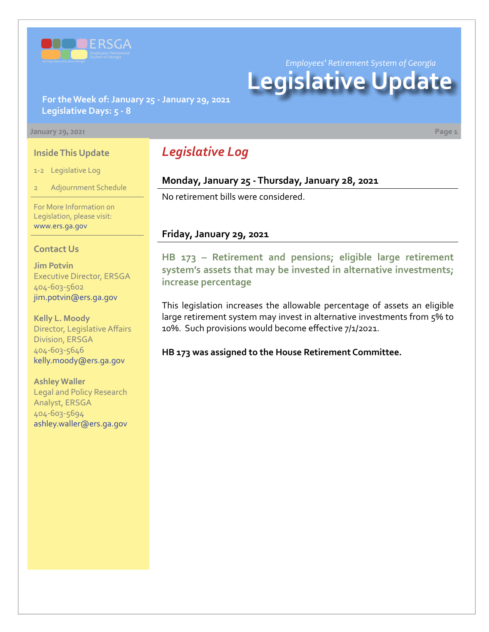

*Employees' Retirement System of Georgia*

# **Legislative Update**

**For the Week of: January 25 - January 29, 2021 Legislative Days: 5 - 8**

#### **January 29, 2021 Page 1**

#### **Inside This Update**

1-2 Legislative Log

Adjournment Schedule

For More Information on Legislation, please visit: [www.ers.ga.gov](http://www.ers.ga.gov/default.aspx)

#### **Contact Us**

**Jim Potvin** Executive Director, ERSGA 404-603-5602 jim.potvin@ers.ga.gov

**Kelly L. Moody** Director, Legislative Affairs Division, ERSGA 404-603-5646 kelly.moody@ers.ga.gov

**Ashley Waller** Legal and Policy Research Analyst, ERSGA 404-603-5694 ashley.waller@ers.ga.gov

# *Legislative Log*

## **Monday, January 25 - Thursday, January 28, 2021**

No retirement bills were considered.

#### **Friday, January 29, 2021**

**[HB 173](https://www.legis.ga.gov/legislation/59095) [–](http://www.legis.ga.gov/legislation/en-US/Display/20192020/HB/67) [Retirement and pensions; eligible large retirement](https://www.legis.ga.gov/legislation/59095)  system's assets that may be invested in alternative investments; increase percentage**

This legislation increases the allowable percentage of assets an eligible large retirement system may invest in alternative investments from 5% to 10%. Such provisions would become effective 7/1/2021.

**HB 173 was assigned to the House Retirement Committee.**